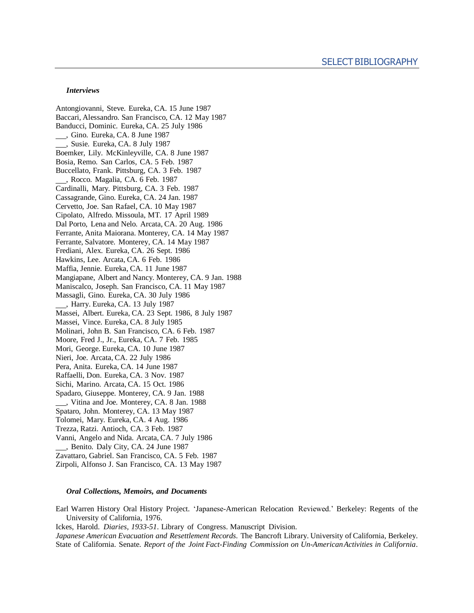## *Interviews*

Antongiovanni, Steve. Eureka, CA. 15 June 1987 Baccari, Alessandro. San Francisco, CA. 12 May 1987 Banducci, Dominic. Eureka, CA. 25 July 1986 , Gino. Eureka, CA. 8 June 1987 , Susie. Eureka, CA. 8 July 1987 Boemker, Lily. McKinleyville, CA. 8 June 1987 Bosia, Remo. San Carlos, CA. 5 Feb. 1987 Buccellato, Frank. Pittsburg, CA. 3 Feb. 1987 , Rocco. Magalia, CA. 6 Feb. 1987 Cardinalli, Mary. Pittsburg, CA. 3 Feb. 1987 Cassagrande, Gino. Eureka, CA. 24 Jan. 1987 Cervetto, Joe. San Rafael, CA. 10 May 1987 Cipolato, Alfredo. Missoula, MT. 17 April 1989 Dal Porto, Lena and Nelo. Arcata, CA. 20 Aug. 1986 Ferrante, Anita Maiorana. Monterey, CA. 14 May 1987 Ferrante, Salvatore. Monterey, CA. 14 May 1987 Frediani, Alex. Eureka, CA. 26 Sept. 1986 Hawkins, Lee. Arcata, CA. 6 Feb. 1986 Maffia, Jennie. Eureka, CA. 11 June 1987 Mangiapane, Albert and Nancy. Monterey, CA. 9 Jan. 1988 Maniscalco, Joseph. San Francisco, CA. 11 May 1987 Massagli, Gino. Eureka, CA. 30 July 1986 , Harry. Eureka, CA. 13 July 1987 Massei, Albert. Eureka, CA. 23 Sept. 1986, 8 July 1987 Massei, Vince. Eureka, CA. 8 July 1985 Molinari, John B. San Francisco, CA. 6 Feb. 1987 Moore, Fred J., Jr., Eureka, CA. 7 Feb. 1985 Mori, George. Eureka, CA. 10 June 1987 Nieri, Joe. Arcata, CA. 22 July 1986 Pera, Anita. Eureka, CA. 14 June 1987 Raffaelli, Don. Eureka, CA. 3 Nov. 1987 Sichi, Marino. Arcata, CA. 15 Oct. 1986 Spadaro, Giuseppe. Monterey, CA. 9 Jan. 1988 , Vitina and Joe. Monterey, CA. 8 Jan. 1988 Spataro, John. Monterey, CA. 13 May 1987 Tolomei, Mary. Eureka, CA. 4 Aug. 1986 Trezza, Ratzi. Antioch, CA. 3 Feb. 1987 Vanni, Angelo and Nida. Arcata, CA. 7 July 1986 , Benito. Daly City, CA. 24 June 1987 Zavattaro, Gabriel. San Francisco, CA. 5 Feb. 1987 Zirpoli, Alfonso J. San Francisco, CA. 13 May 1987

## *Oral Collections, Memoirs, and Documents*

Earl Warren History Oral History Project. 'Japanese-American Relocation Reviewed.' Berkeley: Regents of the University of California, 1976.

Ickes, Harold. *Diaries, 1933-51*. Library of Congress. Manuscript Division.

*Japanese American Evacuation and Resettlement Records*. The Bancroft Library. University of California, Berkeley. State of California. Senate. *Report of the Joint Fact-Finding Commission on Un-AmericanActivities in California*.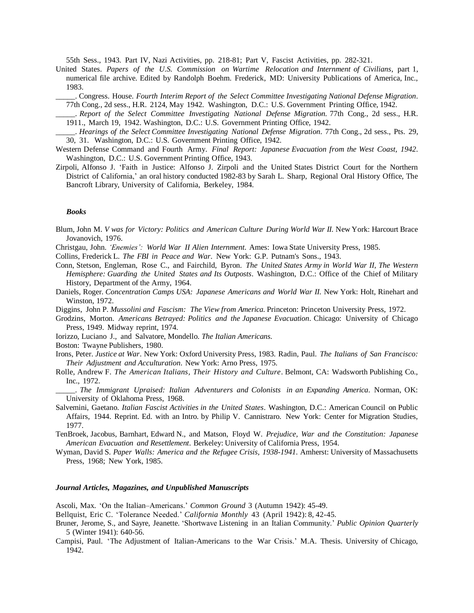55th Sess., 1943. Part IV, Nazi Activities, pp. 218-81; Part V, Fascist Activities, pp. 282-321.

- United States. *Papers of the U.S. Commission on Wartime Relocation and Internment of Civilians*, part 1, numerical file archive. Edited by Randolph Boehm. Frederick, MD: University Publications of America, Inc., 1983.
	- \_\_\_\_\_. Congress. House. *Fourth Interim Report of the Select Committee Investigating National Defense Migration*. 77th Cong., 2d sess., H.R. 2124, May 1942. Washington, D.C.: U.S. Government Printing Office, 1942.
	- \_\_\_\_\_. *Report of the Select Committee Investigating National Defense Migration.* 77th Cong., 2d sess., H.R. 1911., March 19, 1942. Washington, D.C.: U.S. Government Printing Office, 1942.
- \_\_\_\_\_. *Hearings of the Select Committee Investigating National Defense Migration*. 77th Cong., 2d sess., Pts. 29, 30, 31. Washington, D.C.: U.S. Government Printing Office, 1942.
- Western Defense Command and Fourth Army. *Final Report: Japanese Evacuation from the West Coast, 1942*. Washington, D.C.: U.S. Government Printing Office, 1943.
- Zirpoli, Alfonso J. 'Faith in Justice: Alfonso J. Zirpoli and the United States District Court for the Northern District of California,' an oral history conducted 1982-83 by Sarah L. Sharp, Regional Oral History Office, The Bancroft Library, University of California, Berkeley, 1984.

## *Books*

- Blum, John M. *V was for Victory: Politics and American Culture During World War II*. New York: Harcourt Brace Jovanovich, 1976.
- Christgau, John. *'Enemies': World War II Alien Internment*. Ames: IowaState University Press, 1985.
- Collins, Frederick L. *The FBI in Peace and War*. New York: G.P. Putnam's Sons., 1943.
- Conn, Stetson, Engleman, Rose C., and Fairchild, Byron. *The United States Army in World War II, The Western Hemisphere: Guarding the United States and Its Outposts*. Washington, D.C.: Office of the Chief of Military History, Department of the Army, 1964.
- Daniels, Roger. *Concentration Camps USA: Japanese Americans and World War II*. New York: Holt, Rinehart and Winston, 1972.
- Diggins, John P. *Mussolini and Fascism: The View from America*. Princeton: Princeton University Press, 1972.
- Grodzins, Morton. *Americans Betrayed: Politics and the Japanese Evacuation*. Chicago: University of Chicago Press, 1949. Midway reprint, 1974.
- Iorizzo, Luciano J., and Salvatore, Mondello. *The Italian Americans*.

Boston: Twayne Publishers, 1980.

- Irons, Peter. *Justice at War*. New York: Oxford UniversityPress, 1983. Radin, Paul. *The Italians of San Francisco: Their Adjustment and Acculturation*. New York: Arno Press, 1975.
- Rolle, Andrew F. *The American Italians, Their History and Culture*. Belmont, CA: Wadsworth Publishing Co., Inc., 1972.
- \_\_\_\_\_. *The Immigrant Upraised: Italian Adventurers and Colonists in an Expanding America*. Norman, OK: University of Oklahoma Press, 1968.
- Salvemini, Gaetano. *Italian Fascist Activities in the United States*. Washington, D.C.: American Council on Public Affairs, 1944. Reprint. Ed. with an Intro. by Philip V. Cannistraro. New York: Center for Migration Studies, 1977.
- TenBroek, Jacobus, Barnhart, Edward N., and Matson, Floyd W. *Prejudice, War and the Constitution: Japanese American Evacuation and Resettlement*. Berkeley: University of California Press, 1954.
- Wyman, David S. *Paper Walls: America and the Refugee Crisis, 1938-1941*. Amherst: University of Massachusetts Press, 1968; New York, 1985.

## *Journal Articles, Magazines, and Unpublished Manuscripts*

Ascoli, Max. 'On the Italian–Americans.' *Common Ground* 3 (Autumn 1942): 45-49.

Bellquist, Eric C. 'Tolerance Needed.' *California Monthly* 43 (April 1942): 8, 42-45.

- Bruner, Jerome, S., and Sayre, Jeanette. 'Shortwave Listening in an Italian Community.' *Public Opinion Quarterly* 5 (Winter 1941): 640-56.
- Campisi, Paul. 'The Adjustment of Italian-Americans to the War Crisis.' M.A. Thesis. University of Chicago, 1942.